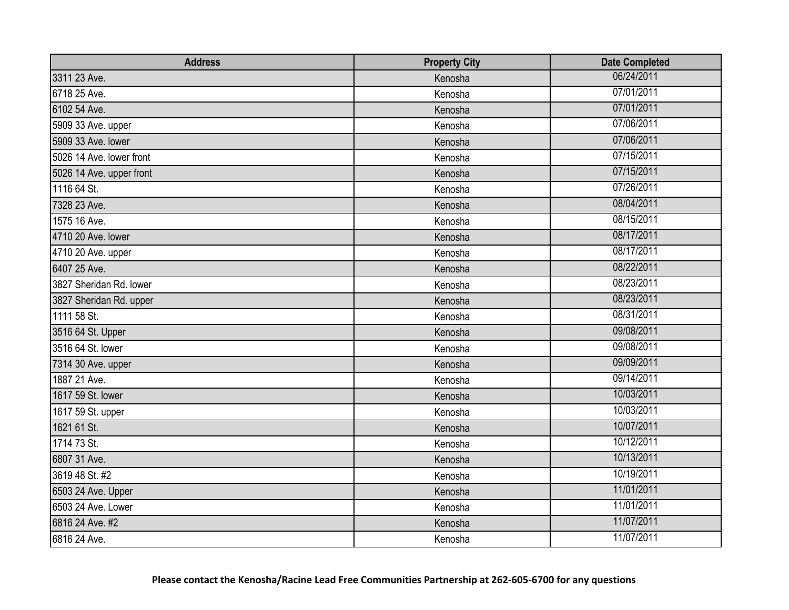| <b>Address</b>           | <b>Property City</b> | <b>Date Completed</b> |
|--------------------------|----------------------|-----------------------|
| 3311 23 Ave.             | Kenosha              | 06/24/2011            |
| 6718 25 Ave.             | Kenosha              | 07/01/2011            |
| 6102 54 Ave.             | Kenosha              | 07/01/2011            |
| 5909 33 Ave. upper       | Kenosha              | 07/06/2011            |
| 5909 33 Ave. lower       | Kenosha              | 07/06/2011            |
| 5026 14 Ave. lower front | Kenosha              | 07/15/2011            |
| 5026 14 Ave. upper front | Kenosha              | 07/15/2011            |
| 1116 64 St.              | Kenosha              | 07/26/2011            |
| 7328 23 Ave.             | Kenosha              | 08/04/2011            |
| 1575 16 Ave.             | Kenosha              | 08/15/2011            |
| 4710 20 Ave. lower       | Kenosha              | 08/17/2011            |
| 4710 20 Ave. upper       | Kenosha              | 08/17/2011            |
| 6407 25 Ave.             | Kenosha              | 08/22/2011            |
| 3827 Sheridan Rd. lower  | Kenosha              | 08/23/2011            |
| 3827 Sheridan Rd. upper  | Kenosha              | 08/23/2011            |
| 1111 58 St.              | Kenosha              | 08/31/2011            |
| 3516 64 St. Upper        | Kenosha              | 09/08/2011            |
| 3516 64 St. lower        | Kenosha              | 09/08/2011            |
| 7314 30 Ave. upper       | Kenosha              | 09/09/2011            |
| 1887 21 Ave.             | Kenosha              | 09/14/2011            |
| 1617 59 St. lower        | Kenosha              | 10/03/2011            |
| 1617 59 St. upper        | Kenosha              | 10/03/2011            |
| 1621 61 St.              | Kenosha              | 10/07/2011            |
| 1714 73 St.              | Kenosha              | 10/12/2011            |
| 6807 31 Ave.             | Kenosha              | 10/13/2011            |
| 3619 48 St. #2           | Kenosha              | 10/19/2011            |
| 6503 24 Ave. Upper       | Kenosha              | 11/01/2011            |
| 6503 24 Ave. Lower       | Kenosha              | 11/01/2011            |
| 6816 24 Ave. #2          | Kenosha              | 11/07/2011            |
| 6816 24 Ave.             | Kenosha              | 11/07/2011            |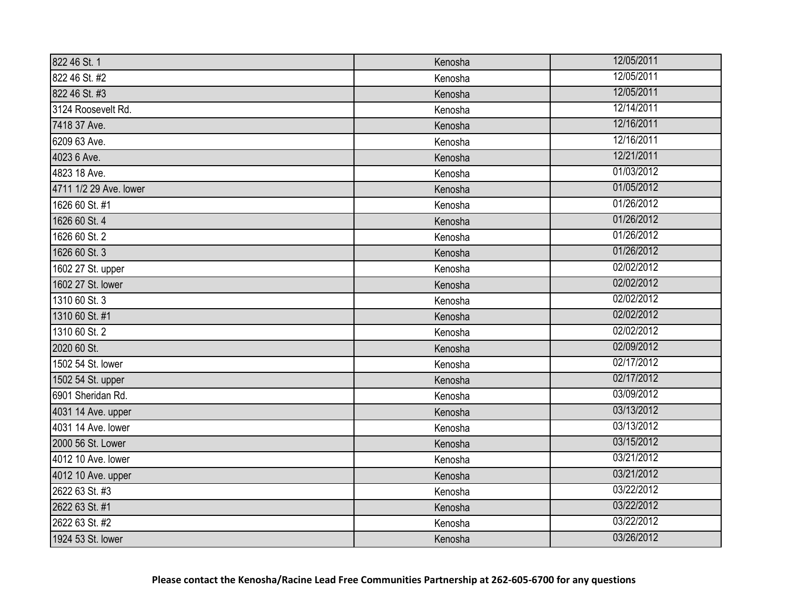| 822 46 St. 1           | Kenosha | 12/05/2011 |
|------------------------|---------|------------|
| 822 46 St. #2          | Kenosha | 12/05/2011 |
| 822 46 St. #3          | Kenosha | 12/05/2011 |
| 3124 Roosevelt Rd.     | Kenosha | 12/14/2011 |
| 7418 37 Ave.           | Kenosha | 12/16/2011 |
| 6209 63 Ave.           | Kenosha | 12/16/2011 |
| 4023 6 Ave.            | Kenosha | 12/21/2011 |
| 4823 18 Ave.           | Kenosha | 01/03/2012 |
| 4711 1/2 29 Ave. lower | Kenosha | 01/05/2012 |
| 1626 60 St. #1         | Kenosha | 01/26/2012 |
| 1626 60 St. 4          | Kenosha | 01/26/2012 |
| 1626 60 St. 2          | Kenosha | 01/26/2012 |
| 1626 60 St. 3          | Kenosha | 01/26/2012 |
| 1602 27 St. upper      | Kenosha | 02/02/2012 |
| 1602 27 St. lower      | Kenosha | 02/02/2012 |
| 1310 60 St. 3          | Kenosha | 02/02/2012 |
| 1310 60 St. #1         | Kenosha | 02/02/2012 |
| 1310 60 St. 2          | Kenosha | 02/02/2012 |
| 2020 60 St.            | Kenosha | 02/09/2012 |
| 1502 54 St. lower      | Kenosha | 02/17/2012 |
| 1502 54 St. upper      | Kenosha | 02/17/2012 |
| 6901 Sheridan Rd.      | Kenosha | 03/09/2012 |
| 4031 14 Ave. upper     | Kenosha | 03/13/2012 |
| 4031 14 Ave. lower     | Kenosha | 03/13/2012 |
| 2000 56 St. Lower      | Kenosha | 03/15/2012 |
| 4012 10 Ave. lower     | Kenosha | 03/21/2012 |
| 4012 10 Ave. upper     | Kenosha | 03/21/2012 |
| 2622 63 St. #3         | Kenosha | 03/22/2012 |
| 2622 63 St. #1         | Kenosha | 03/22/2012 |
| 2622 63 St. #2         | Kenosha | 03/22/2012 |
| 1924 53 St. lower      | Kenosha | 03/26/2012 |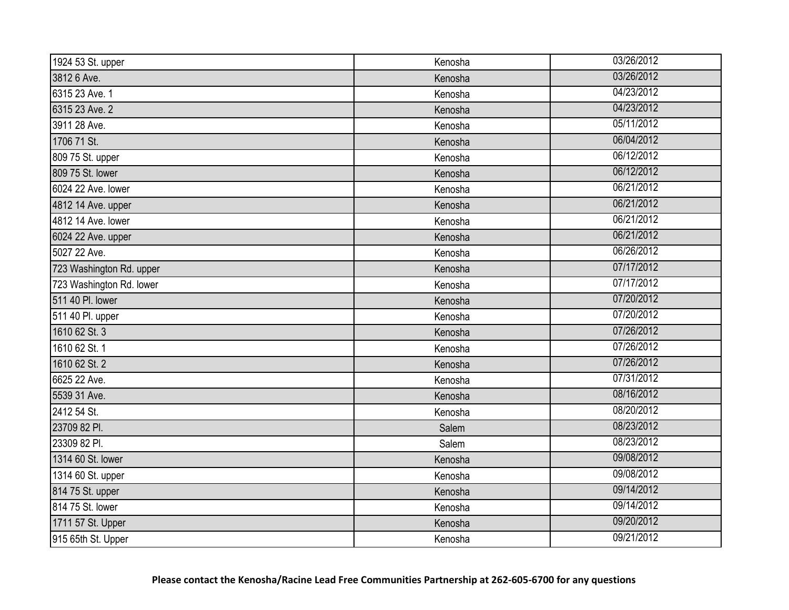| 1924 53 St. upper        | Kenosha | 03/26/2012 |
|--------------------------|---------|------------|
| 3812 6 Ave.              | Kenosha | 03/26/2012 |
| 6315 23 Ave. 1           | Kenosha | 04/23/2012 |
| 6315 23 Ave. 2           | Kenosha | 04/23/2012 |
| 3911 28 Ave.             | Kenosha | 05/11/2012 |
| 1706 71 St.              | Kenosha | 06/04/2012 |
| 809 75 St. upper         | Kenosha | 06/12/2012 |
| 809 75 St. lower         | Kenosha | 06/12/2012 |
| 6024 22 Ave. lower       | Kenosha | 06/21/2012 |
| 4812 14 Ave. upper       | Kenosha | 06/21/2012 |
| 4812 14 Ave. lower       | Kenosha | 06/21/2012 |
| 6024 22 Ave. upper       | Kenosha | 06/21/2012 |
| 5027 22 Ave.             | Kenosha | 06/26/2012 |
| 723 Washington Rd. upper | Kenosha | 07/17/2012 |
| 723 Washington Rd. lower | Kenosha | 07/17/2012 |
| 511 40 Pl. lower         | Kenosha | 07/20/2012 |
| 511 40 Pl. upper         | Kenosha | 07/20/2012 |
| 1610 62 St. 3            | Kenosha | 07/26/2012 |
| 1610 62 St. 1            | Kenosha | 07/26/2012 |
| 1610 62 St. 2            | Kenosha | 07/26/2012 |
| 6625 22 Ave.             | Kenosha | 07/31/2012 |
| 5539 31 Ave.             | Kenosha | 08/16/2012 |
| 2412 54 St.              | Kenosha | 08/20/2012 |
| 23709 82 Pl.             | Salem   | 08/23/2012 |
| 23309 82 Pl.             | Salem   | 08/23/2012 |
| 1314 60 St. lower        | Kenosha | 09/08/2012 |
| 1314 60 St. upper        | Kenosha | 09/08/2012 |
| 814 75 St. upper         | Kenosha | 09/14/2012 |
| 814 75 St. lower         | Kenosha | 09/14/2012 |
| 1711 57 St. Upper        | Kenosha | 09/20/2012 |
| 915 65th St. Upper       | Kenosha | 09/21/2012 |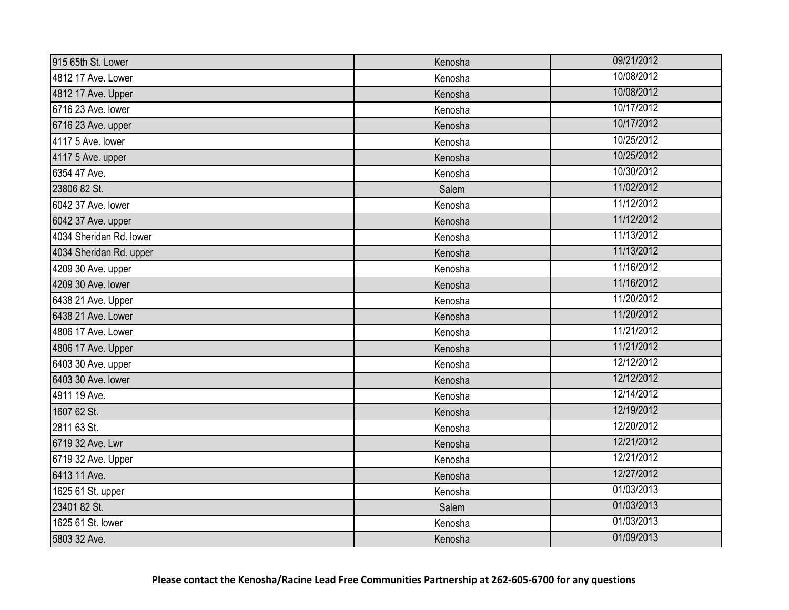| 915 65th St. Lower      | Kenosha | 09/21/2012 |
|-------------------------|---------|------------|
| 4812 17 Ave. Lower      | Kenosha | 10/08/2012 |
| 4812 17 Ave. Upper      | Kenosha | 10/08/2012 |
| 6716 23 Ave. lower      | Kenosha | 10/17/2012 |
| 6716 23 Ave. upper      | Kenosha | 10/17/2012 |
| 4117 5 Ave. lower       | Kenosha | 10/25/2012 |
| 4117 5 Ave. upper       | Kenosha | 10/25/2012 |
| 6354 47 Ave.            | Kenosha | 10/30/2012 |
| 23806 82 St.            | Salem   | 11/02/2012 |
| 6042 37 Ave. lower      | Kenosha | 11/12/2012 |
| 6042 37 Ave. upper      | Kenosha | 11/12/2012 |
| 4034 Sheridan Rd. lower | Kenosha | 11/13/2012 |
| 4034 Sheridan Rd. upper | Kenosha | 11/13/2012 |
| 4209 30 Ave. upper      | Kenosha | 11/16/2012 |
| 4209 30 Ave. lower      | Kenosha | 11/16/2012 |
| 6438 21 Ave. Upper      | Kenosha | 11/20/2012 |
| 6438 21 Ave. Lower      | Kenosha | 11/20/2012 |
| 4806 17 Ave. Lower      | Kenosha | 11/21/2012 |
| 4806 17 Ave. Upper      | Kenosha | 11/21/2012 |
| 6403 30 Ave. upper      | Kenosha | 12/12/2012 |
| 6403 30 Ave. lower      | Kenosha | 12/12/2012 |
| 4911 19 Ave.            | Kenosha | 12/14/2012 |
| 1607 62 St.             | Kenosha | 12/19/2012 |
| 2811 63 St.             | Kenosha | 12/20/2012 |
| 6719 32 Ave. Lwr        | Kenosha | 12/21/2012 |
| 6719 32 Ave. Upper      | Kenosha | 12/21/2012 |
| 6413 11 Ave.            | Kenosha | 12/27/2012 |
| 1625 61 St. upper       | Kenosha | 01/03/2013 |
| 23401 82 St.            | Salem   | 01/03/2013 |
| 1625 61 St. lower       | Kenosha | 01/03/2013 |
| 5803 32 Ave.            | Kenosha | 01/09/2013 |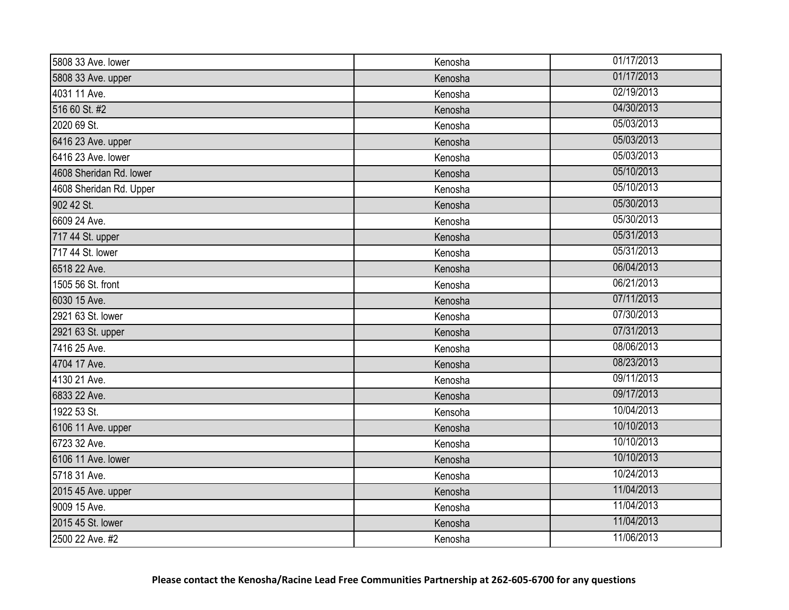| 5808 33 Ave. lower      | Kenosha | 01/17/2013 |
|-------------------------|---------|------------|
| 5808 33 Ave. upper      | Kenosha | 01/17/2013 |
| 4031 11 Ave.            | Kenosha | 02/19/2013 |
| 516 60 St. #2           | Kenosha | 04/30/2013 |
| 2020 69 St.             | Kenosha | 05/03/2013 |
| 6416 23 Ave. upper      | Kenosha | 05/03/2013 |
| 6416 23 Ave. lower      | Kenosha | 05/03/2013 |
| 4608 Sheridan Rd. lower | Kenosha | 05/10/2013 |
| 4608 Sheridan Rd. Upper | Kenosha | 05/10/2013 |
| 902 42 St.              | Kenosha | 05/30/2013 |
| 6609 24 Ave.            | Kenosha | 05/30/2013 |
| 717 44 St. upper        | Kenosha | 05/31/2013 |
| 717 44 St. lower        | Kenosha | 05/31/2013 |
| 6518 22 Ave.            | Kenosha | 06/04/2013 |
| 1505 56 St. front       | Kenosha | 06/21/2013 |
| 6030 15 Ave.            | Kenosha | 07/11/2013 |
| 2921 63 St. lower       | Kenosha | 07/30/2013 |
| 2921 63 St. upper       | Kenosha | 07/31/2013 |
| 7416 25 Ave.            | Kenosha | 08/06/2013 |
| 4704 17 Ave.            | Kenosha | 08/23/2013 |
| 4130 21 Ave.            | Kenosha | 09/11/2013 |
| 6833 22 Ave.            | Kenosha | 09/17/2013 |
| 1922 53 St.             | Kensoha | 10/04/2013 |
| 6106 11 Ave. upper      | Kenosha | 10/10/2013 |
| 6723 32 Ave.            | Kenosha | 10/10/2013 |
| 6106 11 Ave. lower      | Kenosha | 10/10/2013 |
| 5718 31 Ave.            | Kenosha | 10/24/2013 |
| 2015 45 Ave. upper      | Kenosha | 11/04/2013 |
| 9009 15 Ave.            | Kenosha | 11/04/2013 |
| 2015 45 St. lower       | Kenosha | 11/04/2013 |
| 2500 22 Ave. #2         | Kenosha | 11/06/2013 |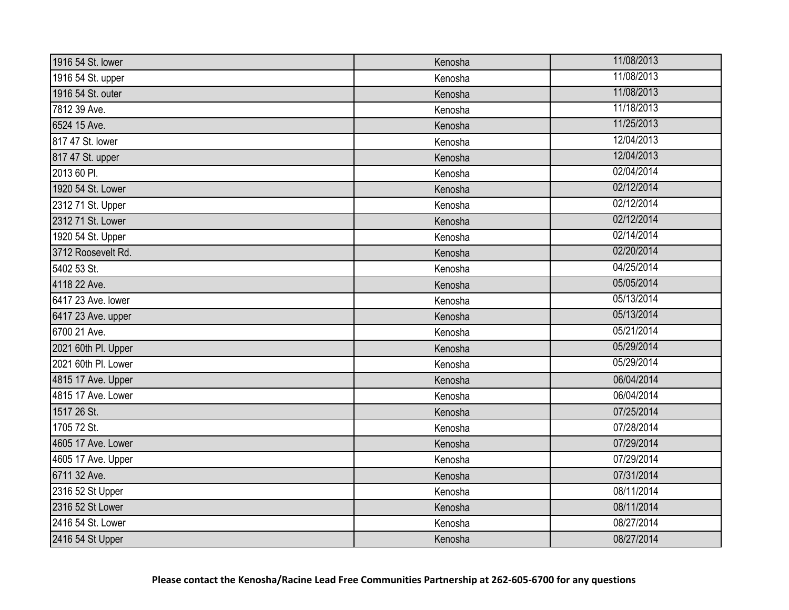| 1916 54 St. lower   | Kenosha | 11/08/2013 |
|---------------------|---------|------------|
| 1916 54 St. upper   | Kenosha | 11/08/2013 |
| 1916 54 St. outer   | Kenosha | 11/08/2013 |
| 7812 39 Ave.        | Kenosha | 11/18/2013 |
| 6524 15 Ave.        | Kenosha | 11/25/2013 |
| 817 47 St. lower    | Kenosha | 12/04/2013 |
| 817 47 St. upper    | Kenosha | 12/04/2013 |
| 2013 60 Pl.         | Kenosha | 02/04/2014 |
| 1920 54 St. Lower   | Kenosha | 02/12/2014 |
| 2312 71 St. Upper   | Kenosha | 02/12/2014 |
| 2312 71 St. Lower   | Kenosha | 02/12/2014 |
| 1920 54 St. Upper   | Kenosha | 02/14/2014 |
| 3712 Roosevelt Rd.  | Kenosha | 02/20/2014 |
| 5402 53 St.         | Kenosha | 04/25/2014 |
| 4118 22 Ave.        | Kenosha | 05/05/2014 |
| 6417 23 Ave. lower  | Kenosha | 05/13/2014 |
| 6417 23 Ave. upper  | Kenosha | 05/13/2014 |
| 6700 21 Ave.        | Kenosha | 05/21/2014 |
| 2021 60th Pl. Upper | Kenosha | 05/29/2014 |
| 2021 60th Pl. Lower | Kenosha | 05/29/2014 |
| 4815 17 Ave. Upper  | Kenosha | 06/04/2014 |
| 4815 17 Ave. Lower  | Kenosha | 06/04/2014 |
| 1517 26 St.         | Kenosha | 07/25/2014 |
| 1705 72 St.         | Kenosha | 07/28/2014 |
| 4605 17 Ave. Lower  | Kenosha | 07/29/2014 |
| 4605 17 Ave. Upper  | Kenosha | 07/29/2014 |
| 6711 32 Ave.        | Kenosha | 07/31/2014 |
| 2316 52 St Upper    | Kenosha | 08/11/2014 |
| 2316 52 St Lower    | Kenosha | 08/11/2014 |
| 2416 54 St. Lower   | Kenosha | 08/27/2014 |
| 2416 54 St Upper    | Kenosha | 08/27/2014 |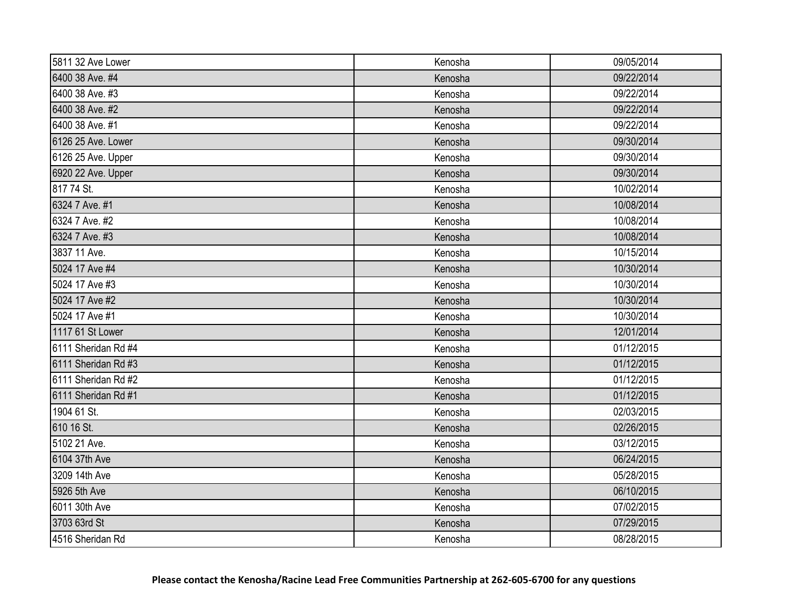| 5811 32 Ave Lower   | Kenosha | 09/05/2014 |
|---------------------|---------|------------|
| 6400 38 Ave. #4     | Kenosha | 09/22/2014 |
| 6400 38 Ave. #3     | Kenosha | 09/22/2014 |
| 6400 38 Ave. #2     | Kenosha | 09/22/2014 |
| 6400 38 Ave. #1     | Kenosha | 09/22/2014 |
| 6126 25 Ave. Lower  | Kenosha | 09/30/2014 |
| 6126 25 Ave. Upper  | Kenosha | 09/30/2014 |
| 6920 22 Ave. Upper  | Kenosha | 09/30/2014 |
| 817 74 St.          | Kenosha | 10/02/2014 |
| 6324 7 Ave. #1      | Kenosha | 10/08/2014 |
| 6324 7 Ave. #2      | Kenosha | 10/08/2014 |
| 6324 7 Ave. #3      | Kenosha | 10/08/2014 |
| 3837 11 Ave.        | Kenosha | 10/15/2014 |
| 5024 17 Ave #4      | Kenosha | 10/30/2014 |
| 5024 17 Ave #3      | Kenosha | 10/30/2014 |
| 5024 17 Ave #2      | Kenosha | 10/30/2014 |
| 5024 17 Ave #1      | Kenosha | 10/30/2014 |
| 1117 61 St Lower    | Kenosha | 12/01/2014 |
| 6111 Sheridan Rd #4 | Kenosha | 01/12/2015 |
| 6111 Sheridan Rd #3 | Kenosha | 01/12/2015 |
| 6111 Sheridan Rd #2 | Kenosha | 01/12/2015 |
| 6111 Sheridan Rd #1 | Kenosha | 01/12/2015 |
| 1904 61 St.         | Kenosha | 02/03/2015 |
| 610 16 St.          | Kenosha | 02/26/2015 |
| 5102 21 Ave.        | Kenosha | 03/12/2015 |
| 6104 37th Ave       | Kenosha | 06/24/2015 |
| 3209 14th Ave       | Kenosha | 05/28/2015 |
| 5926 5th Ave        | Kenosha | 06/10/2015 |
| 6011 30th Ave       | Kenosha | 07/02/2015 |
| 3703 63rd St        | Kenosha | 07/29/2015 |
| 4516 Sheridan Rd    | Kenosha | 08/28/2015 |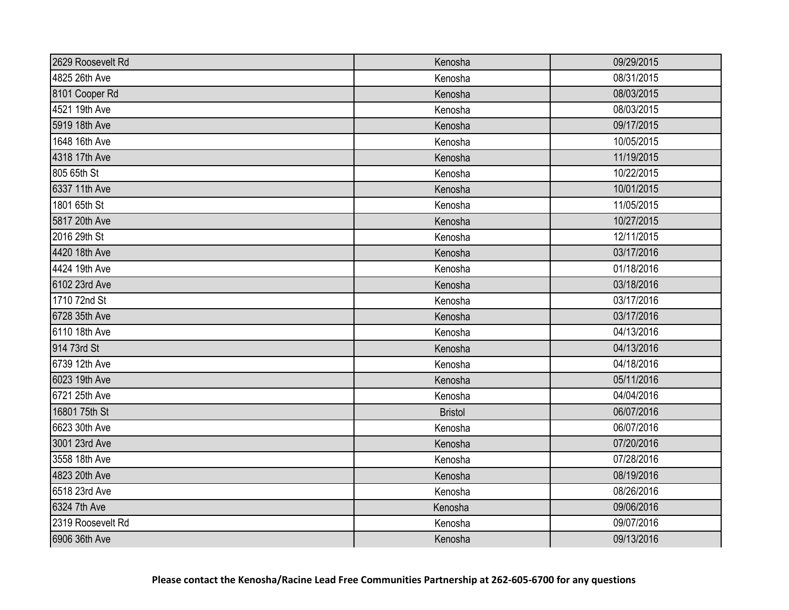| 2629 Roosevelt Rd | Kenosha        | 09/29/2015 |
|-------------------|----------------|------------|
| 4825 26th Ave     | Kenosha        | 08/31/2015 |
| 8101 Cooper Rd    | Kenosha        | 08/03/2015 |
| 4521 19th Ave     | Kenosha        | 08/03/2015 |
| 5919 18th Ave     | Kenosha        | 09/17/2015 |
| 1648 16th Ave     | Kenosha        | 10/05/2015 |
| 4318 17th Ave     | Kenosha        | 11/19/2015 |
| 805 65th St       | Kenosha        | 10/22/2015 |
| 6337 11th Ave     | Kenosha        | 10/01/2015 |
| 1801 65th St      | Kenosha        | 11/05/2015 |
| 5817 20th Ave     | Kenosha        | 10/27/2015 |
| 2016 29th St      | Kenosha        | 12/11/2015 |
| 4420 18th Ave     | Kenosha        | 03/17/2016 |
| 4424 19th Ave     | Kenosha        | 01/18/2016 |
| 6102 23rd Ave     | Kenosha        | 03/18/2016 |
| 1710 72nd St      | Kenosha        | 03/17/2016 |
| 6728 35th Ave     | Kenosha        | 03/17/2016 |
| 6110 18th Ave     | Kenosha        | 04/13/2016 |
| 914 73rd St       | Kenosha        | 04/13/2016 |
| 6739 12th Ave     | Kenosha        | 04/18/2016 |
| 6023 19th Ave     | Kenosha        | 05/11/2016 |
| 6721 25th Ave     | Kenosha        | 04/04/2016 |
| 16801 75th St     | <b>Bristol</b> | 06/07/2016 |
| 6623 30th Ave     | Kenosha        | 06/07/2016 |
| 3001 23rd Ave     | Kenosha        | 07/20/2016 |
| 3558 18th Ave     | Kenosha        | 07/28/2016 |
| 4823 20th Ave     | Kenosha        | 08/19/2016 |
| 6518 23rd Ave     | Kenosha        | 08/26/2016 |
| 6324 7th Ave      | Kenosha        | 09/06/2016 |
| 2319 Roosevelt Rd | Kenosha        | 09/07/2016 |
| 6906 36th Ave     | Kenosha        | 09/13/2016 |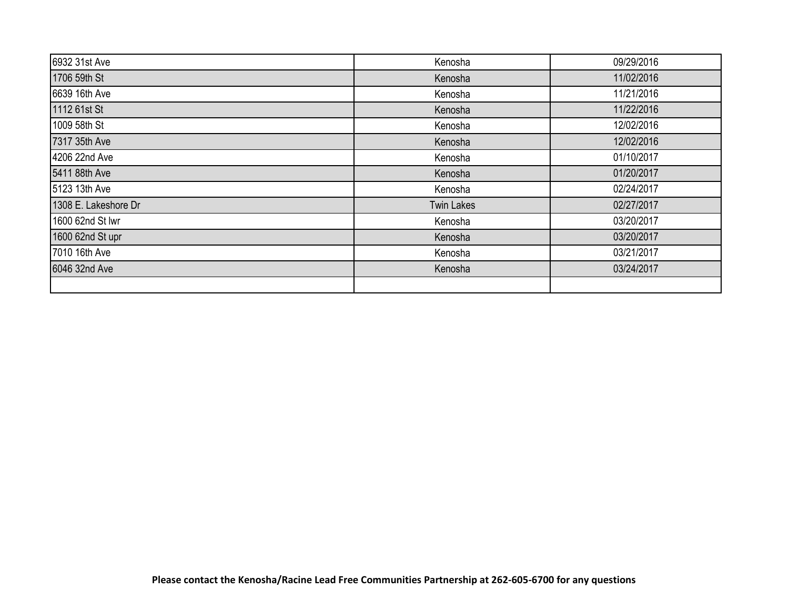| 6932 31st Ave        | Kenosha           | 09/29/2016 |
|----------------------|-------------------|------------|
| 1706 59th St         | Kenosha           | 11/02/2016 |
| 6639 16th Ave        | Kenosha           | 11/21/2016 |
| 1112 61st St         | Kenosha           | 11/22/2016 |
| 1009 58th St         | Kenosha           | 12/02/2016 |
| 7317 35th Ave        | Kenosha           | 12/02/2016 |
| 4206 22nd Ave        | Kenosha           | 01/10/2017 |
| 5411 88th Ave        | Kenosha           | 01/20/2017 |
| 5123 13th Ave        | Kenosha           | 02/24/2017 |
| 1308 E. Lakeshore Dr | <b>Twin Lakes</b> | 02/27/2017 |
| 1600 62nd St lwr     | Kenosha           | 03/20/2017 |
| 1600 62nd St upr     | Kenosha           | 03/20/2017 |
| 7010 16th Ave        | Kenosha           | 03/21/2017 |
| 6046 32nd Ave        | Kenosha           | 03/24/2017 |
|                      |                   |            |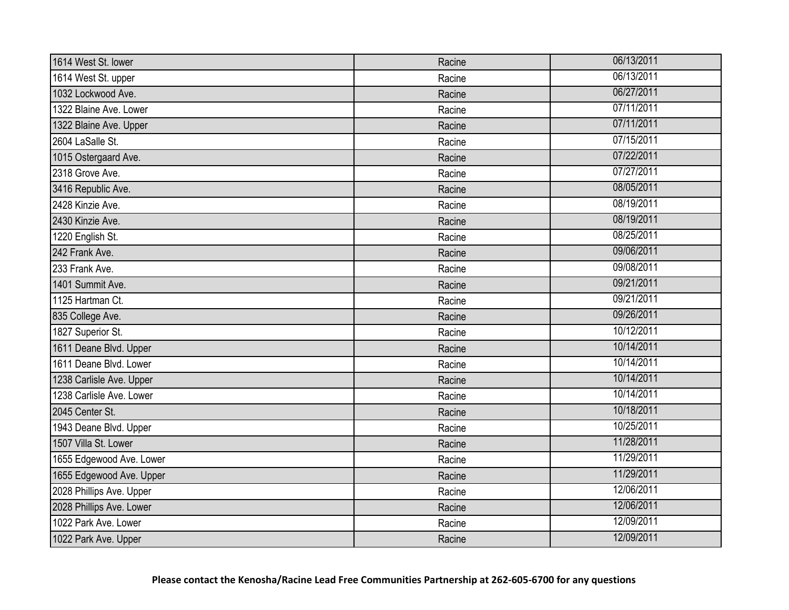| 1614 West St. lower      | Racine | 06/13/2011 |
|--------------------------|--------|------------|
| 1614 West St. upper      | Racine | 06/13/2011 |
| 1032 Lockwood Ave.       | Racine | 06/27/2011 |
| 1322 Blaine Ave. Lower   | Racine | 07/11/2011 |
| 1322 Blaine Ave. Upper   | Racine | 07/11/2011 |
| 2604 LaSalle St.         | Racine | 07/15/2011 |
| 1015 Ostergaard Ave.     | Racine | 07/22/2011 |
| 2318 Grove Ave.          | Racine | 07/27/2011 |
| 3416 Republic Ave.       | Racine | 08/05/2011 |
| 2428 Kinzie Ave.         | Racine | 08/19/2011 |
| 2430 Kinzie Ave.         | Racine | 08/19/2011 |
| 1220 English St.         | Racine | 08/25/2011 |
| 242 Frank Ave.           | Racine | 09/06/2011 |
| 233 Frank Ave.           | Racine | 09/08/2011 |
| 1401 Summit Ave.         | Racine | 09/21/2011 |
| 1125 Hartman Ct.         | Racine | 09/21/2011 |
| 835 College Ave.         | Racine | 09/26/2011 |
| 1827 Superior St.        | Racine | 10/12/2011 |
| 1611 Deane Blvd. Upper   | Racine | 10/14/2011 |
| 1611 Deane Blvd. Lower   | Racine | 10/14/2011 |
| 1238 Carlisle Ave. Upper | Racine | 10/14/2011 |
| 1238 Carlisle Ave. Lower | Racine | 10/14/2011 |
| 2045 Center St.          | Racine | 10/18/2011 |
| 1943 Deane Blvd. Upper   | Racine | 10/25/2011 |
| 1507 Villa St. Lower     | Racine | 11/28/2011 |
| 1655 Edgewood Ave. Lower | Racine | 11/29/2011 |
| 1655 Edgewood Ave. Upper | Racine | 11/29/2011 |
| 2028 Phillips Ave. Upper | Racine | 12/06/2011 |
| 2028 Phillips Ave. Lower | Racine | 12/06/2011 |
| 1022 Park Ave. Lower     | Racine | 12/09/2011 |
| 1022 Park Ave. Upper     | Racine | 12/09/2011 |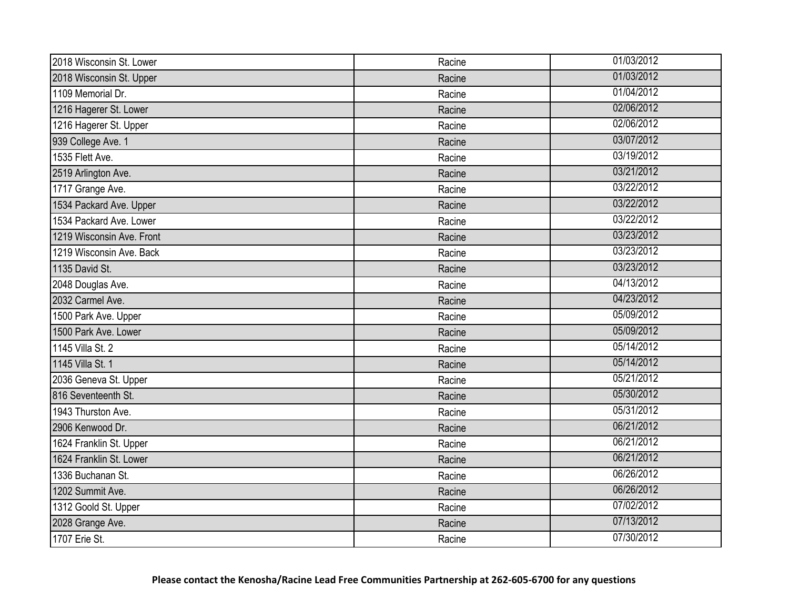| 2018 Wisconsin St. Lower  | Racine | 01/03/2012 |
|---------------------------|--------|------------|
| 2018 Wisconsin St. Upper  | Racine | 01/03/2012 |
| 1109 Memorial Dr.         | Racine | 01/04/2012 |
| 1216 Hagerer St. Lower    | Racine | 02/06/2012 |
| 1216 Hagerer St. Upper    | Racine | 02/06/2012 |
| 939 College Ave. 1        | Racine | 03/07/2012 |
| 1535 Flett Ave.           | Racine | 03/19/2012 |
| 2519 Arlington Ave.       | Racine | 03/21/2012 |
| 1717 Grange Ave.          | Racine | 03/22/2012 |
| 1534 Packard Ave. Upper   | Racine | 03/22/2012 |
| 1534 Packard Ave. Lower   | Racine | 03/22/2012 |
| 1219 Wisconsin Ave. Front | Racine | 03/23/2012 |
| 1219 Wisconsin Ave. Back  | Racine | 03/23/2012 |
| 1135 David St.            | Racine | 03/23/2012 |
| 2048 Douglas Ave.         | Racine | 04/13/2012 |
| 2032 Carmel Ave.          | Racine | 04/23/2012 |
| 1500 Park Ave. Upper      | Racine | 05/09/2012 |
| 1500 Park Ave. Lower      | Racine | 05/09/2012 |
| 1145 Villa St. 2          | Racine | 05/14/2012 |
| 1145 Villa St. 1          | Racine | 05/14/2012 |
| 2036 Geneva St. Upper     | Racine | 05/21/2012 |
| 816 Seventeenth St.       | Racine | 05/30/2012 |
| 1943 Thurston Ave.        | Racine | 05/31/2012 |
| 2906 Kenwood Dr.          | Racine | 06/21/2012 |
| 1624 Franklin St. Upper   | Racine | 06/21/2012 |
| 1624 Franklin St. Lower   | Racine | 06/21/2012 |
| 1336 Buchanan St.         | Racine | 06/26/2012 |
| 1202 Summit Ave.          | Racine | 06/26/2012 |
| 1312 Goold St. Upper      | Racine | 07/02/2012 |
| 2028 Grange Ave.          | Racine | 07/13/2012 |
| 1707 Erie St.             | Racine | 07/30/2012 |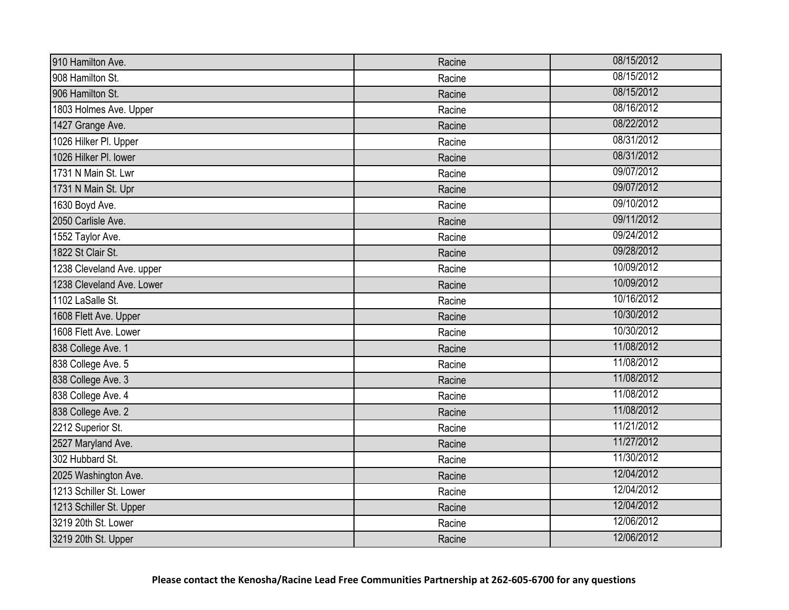| 910 Hamilton Ave.         | Racine | 08/15/2012 |
|---------------------------|--------|------------|
| 908 Hamilton St.          | Racine | 08/15/2012 |
| 906 Hamilton St.          | Racine | 08/15/2012 |
| 1803 Holmes Ave. Upper    | Racine | 08/16/2012 |
| 1427 Grange Ave.          | Racine | 08/22/2012 |
| 1026 Hilker Pl. Upper     | Racine | 08/31/2012 |
| 1026 Hilker Pl. lower     | Racine | 08/31/2012 |
| 1731 N Main St. Lwr       | Racine | 09/07/2012 |
| 1731 N Main St. Upr       | Racine | 09/07/2012 |
| 1630 Boyd Ave.            | Racine | 09/10/2012 |
| 2050 Carlisle Ave.        | Racine | 09/11/2012 |
| 1552 Taylor Ave.          | Racine | 09/24/2012 |
| 1822 St Clair St.         | Racine | 09/28/2012 |
| 1238 Cleveland Ave. upper | Racine | 10/09/2012 |
| 1238 Cleveland Ave. Lower | Racine | 10/09/2012 |
| 1102 LaSalle St.          | Racine | 10/16/2012 |
| 1608 Flett Ave. Upper     | Racine | 10/30/2012 |
| 1608 Flett Ave. Lower     | Racine | 10/30/2012 |
| 838 College Ave. 1        | Racine | 11/08/2012 |
| 838 College Ave. 5        | Racine | 11/08/2012 |
| 838 College Ave. 3        | Racine | 11/08/2012 |
| 838 College Ave. 4        | Racine | 11/08/2012 |
| 838 College Ave. 2        | Racine | 11/08/2012 |
| 2212 Superior St.         | Racine | 11/21/2012 |
| 2527 Maryland Ave.        | Racine | 11/27/2012 |
| 302 Hubbard St.           | Racine | 11/30/2012 |
| 2025 Washington Ave.      | Racine | 12/04/2012 |
| 1213 Schiller St. Lower   | Racine | 12/04/2012 |
| 1213 Schiller St. Upper   | Racine | 12/04/2012 |
| 3219 20th St. Lower       | Racine | 12/06/2012 |
| 3219 20th St. Upper       | Racine | 12/06/2012 |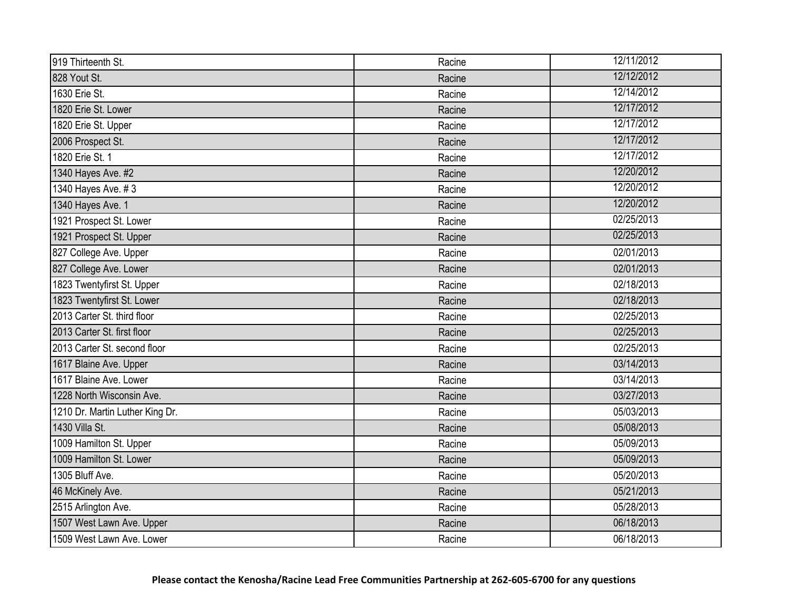| 919 Thirteenth St.              | Racine | 12/11/2012 |
|---------------------------------|--------|------------|
| 828 Yout St.                    | Racine | 12/12/2012 |
| 1630 Erie St.                   | Racine | 12/14/2012 |
| 1820 Erie St. Lower             | Racine | 12/17/2012 |
| 1820 Erie St. Upper             | Racine | 12/17/2012 |
| 2006 Prospect St.               | Racine | 12/17/2012 |
| 1820 Erie St. 1                 | Racine | 12/17/2012 |
| 1340 Hayes Ave. #2              | Racine | 12/20/2012 |
| 1340 Hayes Ave. #3              | Racine | 12/20/2012 |
| 1340 Hayes Ave. 1               | Racine | 12/20/2012 |
| 1921 Prospect St. Lower         | Racine | 02/25/2013 |
| 1921 Prospect St. Upper         | Racine | 02/25/2013 |
| 827 College Ave. Upper          | Racine | 02/01/2013 |
| 827 College Ave. Lower          | Racine | 02/01/2013 |
| 1823 Twentyfirst St. Upper      | Racine | 02/18/2013 |
| 1823 Twentyfirst St. Lower      | Racine | 02/18/2013 |
| 2013 Carter St. third floor     | Racine | 02/25/2013 |
| 2013 Carter St. first floor     | Racine | 02/25/2013 |
| 2013 Carter St. second floor    | Racine | 02/25/2013 |
| 1617 Blaine Ave. Upper          | Racine | 03/14/2013 |
| 1617 Blaine Ave. Lower          | Racine | 03/14/2013 |
| 1228 North Wisconsin Ave.       | Racine | 03/27/2013 |
| 1210 Dr. Martin Luther King Dr. | Racine | 05/03/2013 |
| 1430 Villa St.                  | Racine | 05/08/2013 |
| 1009 Hamilton St. Upper         | Racine | 05/09/2013 |
| 1009 Hamilton St. Lower         | Racine | 05/09/2013 |
| 1305 Bluff Ave.                 | Racine | 05/20/2013 |
| 46 McKinely Ave.                | Racine | 05/21/2013 |
| 2515 Arlington Ave.             | Racine | 05/28/2013 |
| 1507 West Lawn Ave. Upper       | Racine | 06/18/2013 |
| 1509 West Lawn Ave. Lower       | Racine | 06/18/2013 |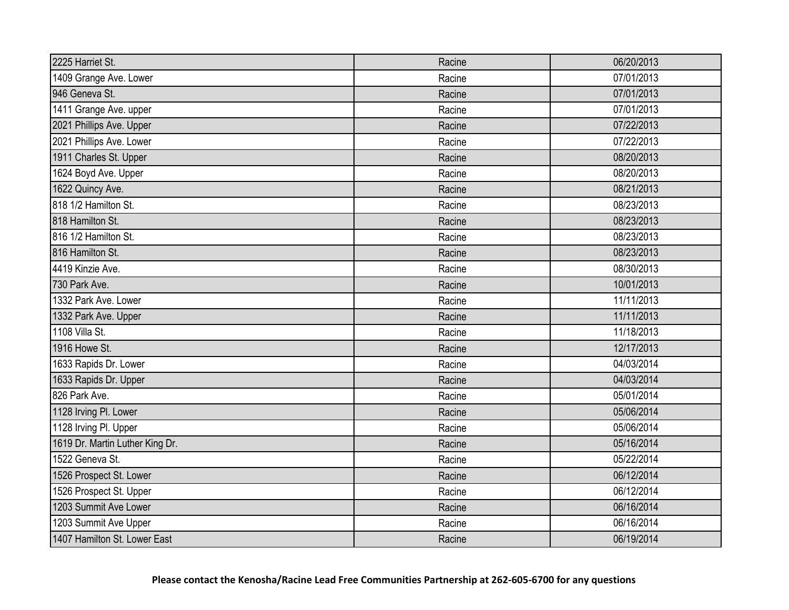| 2225 Harriet St.                | Racine | 06/20/2013 |
|---------------------------------|--------|------------|
| 1409 Grange Ave. Lower          | Racine | 07/01/2013 |
| 946 Geneva St.                  | Racine | 07/01/2013 |
| 1411 Grange Ave. upper          | Racine | 07/01/2013 |
| 2021 Phillips Ave. Upper        | Racine | 07/22/2013 |
| 2021 Phillips Ave. Lower        | Racine | 07/22/2013 |
| 1911 Charles St. Upper          | Racine | 08/20/2013 |
| 1624 Boyd Ave. Upper            | Racine | 08/20/2013 |
| 1622 Quincy Ave.                | Racine | 08/21/2013 |
| 818 1/2 Hamilton St.            | Racine | 08/23/2013 |
| 818 Hamilton St.                | Racine | 08/23/2013 |
| 816 1/2 Hamilton St.            | Racine | 08/23/2013 |
| 816 Hamilton St.                | Racine | 08/23/2013 |
| 4419 Kinzie Ave.                | Racine | 08/30/2013 |
| 730 Park Ave.                   | Racine | 10/01/2013 |
| 1332 Park Ave. Lower            | Racine | 11/11/2013 |
| 1332 Park Ave. Upper            | Racine | 11/11/2013 |
| 1108 Villa St.                  | Racine | 11/18/2013 |
| 1916 Howe St.                   | Racine | 12/17/2013 |
| 1633 Rapids Dr. Lower           | Racine | 04/03/2014 |
| 1633 Rapids Dr. Upper           | Racine | 04/03/2014 |
| 826 Park Ave.                   | Racine | 05/01/2014 |
| 1128 Irving Pl. Lower           | Racine | 05/06/2014 |
| 1128 Irving Pl. Upper           | Racine | 05/06/2014 |
| 1619 Dr. Martin Luther King Dr. | Racine | 05/16/2014 |
| 1522 Geneva St.                 | Racine | 05/22/2014 |
| 1526 Prospect St. Lower         | Racine | 06/12/2014 |
| 1526 Prospect St. Upper         | Racine | 06/12/2014 |
| 1203 Summit Ave Lower           | Racine | 06/16/2014 |
| 1203 Summit Ave Upper           | Racine | 06/16/2014 |
| 1407 Hamilton St. Lower East    | Racine | 06/19/2014 |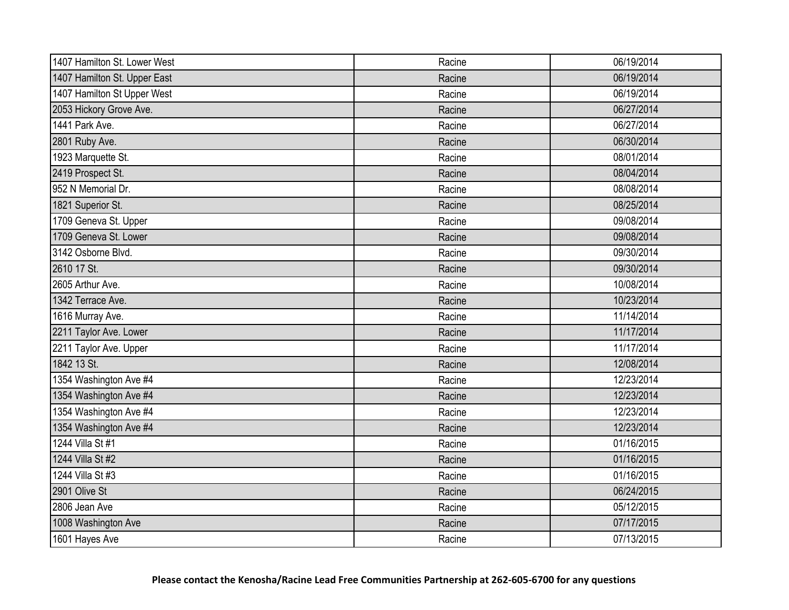| 1407 Hamilton St. Lower West | Racine | 06/19/2014 |
|------------------------------|--------|------------|
| 1407 Hamilton St. Upper East | Racine | 06/19/2014 |
| 1407 Hamilton St Upper West  | Racine | 06/19/2014 |
| 2053 Hickory Grove Ave.      | Racine | 06/27/2014 |
| 1441 Park Ave.               | Racine | 06/27/2014 |
| 2801 Ruby Ave.               | Racine | 06/30/2014 |
| 1923 Marquette St.           | Racine | 08/01/2014 |
| 2419 Prospect St.            | Racine | 08/04/2014 |
| 952 N Memorial Dr.           | Racine | 08/08/2014 |
| 1821 Superior St.            | Racine | 08/25/2014 |
| 1709 Geneva St. Upper        | Racine | 09/08/2014 |
| 1709 Geneva St. Lower        | Racine | 09/08/2014 |
| 3142 Osborne Blvd.           | Racine | 09/30/2014 |
| 2610 17 St.                  | Racine | 09/30/2014 |
| 2605 Arthur Ave.             | Racine | 10/08/2014 |
| 1342 Terrace Ave.            | Racine | 10/23/2014 |
| 1616 Murray Ave.             | Racine | 11/14/2014 |
| 2211 Taylor Ave. Lower       | Racine | 11/17/2014 |
| 2211 Taylor Ave. Upper       | Racine | 11/17/2014 |
| 1842 13 St.                  | Racine | 12/08/2014 |
| 1354 Washington Ave #4       | Racine | 12/23/2014 |
| 1354 Washington Ave #4       | Racine | 12/23/2014 |
| 1354 Washington Ave #4       | Racine | 12/23/2014 |
| 1354 Washington Ave #4       | Racine | 12/23/2014 |
| 1244 Villa St #1             | Racine | 01/16/2015 |
| 1244 Villa St #2             | Racine | 01/16/2015 |
| 1244 Villa St #3             | Racine | 01/16/2015 |
| 2901 Olive St                | Racine | 06/24/2015 |
| 2806 Jean Ave                | Racine | 05/12/2015 |
| 1008 Washington Ave          | Racine | 07/17/2015 |
| 1601 Hayes Ave               | Racine | 07/13/2015 |